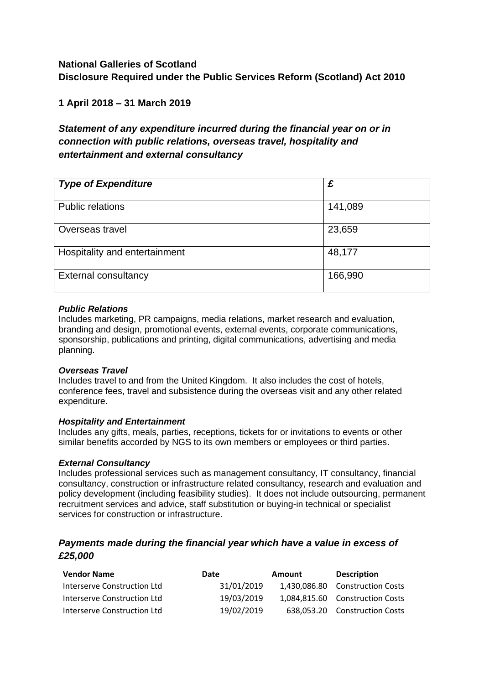# **National Galleries of Scotland Disclosure Required under the Public Services Reform (Scotland) Act 2010**

### **1 April 2018 – 31 March 2019**

# *Statement of any expenditure incurred during the financial year on or in connection with public relations, overseas travel, hospitality and entertainment and external consultancy*

| <b>Type of Expenditure</b>    | £       |
|-------------------------------|---------|
| <b>Public relations</b>       | 141,089 |
| Overseas travel               | 23,659  |
| Hospitality and entertainment | 48,177  |
| <b>External consultancy</b>   | 166,990 |

#### *Public Relations*

Includes marketing, PR campaigns, media relations, market research and evaluation, branding and design, promotional events, external events, corporate communications, sponsorship, publications and printing, digital communications, advertising and media planning.

#### *Overseas Travel*

Includes travel to and from the United Kingdom. It also includes the cost of hotels, conference fees, travel and subsistence during the overseas visit and any other related expenditure.

#### *Hospitality and Entertainment*

Includes any gifts, meals, parties, receptions, tickets for or invitations to events or other similar benefits accorded by NGS to its own members or employees or third parties.

#### *External Consultancy*

Includes professional services such as management consultancy, IT consultancy, financial consultancy, construction or infrastructure related consultancy, research and evaluation and policy development (including feasibility studies). It does not include outsourcing, permanent recruitment services and advice, staff substitution or buying-in technical or specialist services for construction or infrastructure.

### *Payments made during the financial year which have a value in excess of £25,000*

| <b>Vendor Name</b>          | Date       | <b>Amount</b> | <b>Description</b>              |
|-----------------------------|------------|---------------|---------------------------------|
| Interserve Construction Ltd | 31/01/2019 |               | 1,430,086.80 Construction Costs |
| Interserve Construction Ltd | 19/03/2019 |               | 1.084.815.60 Construction Costs |
| Interserve Construction Ltd | 19/02/2019 |               | 638,053.20 Construction Costs   |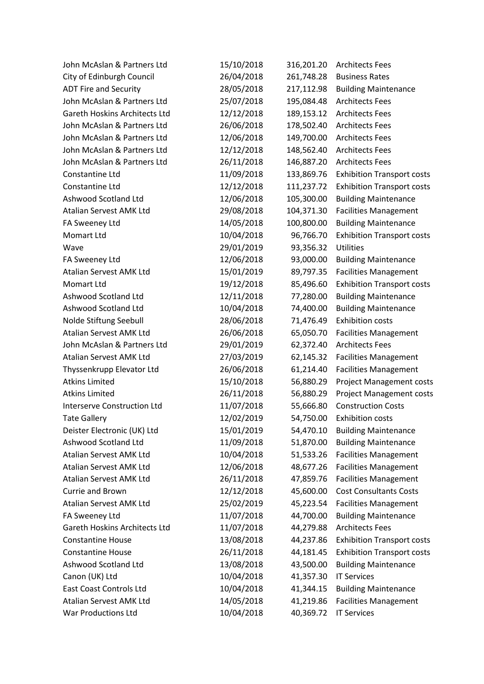| John McAslan & Partners Ltd          | 15/10/2018 | 316,201.20 | <b>Architects Fees</b>            |
|--------------------------------------|------------|------------|-----------------------------------|
| City of Edinburgh Council            | 26/04/2018 | 261,748.28 | <b>Business Rates</b>             |
| <b>ADT Fire and Security</b>         | 28/05/2018 | 217,112.98 | <b>Building Maintenance</b>       |
| John McAslan & Partners Ltd          | 25/07/2018 | 195,084.48 | <b>Architects Fees</b>            |
| <b>Gareth Hoskins Architects Ltd</b> | 12/12/2018 | 189,153.12 | <b>Architects Fees</b>            |
| John McAslan & Partners Ltd          | 26/06/2018 | 178,502.40 | <b>Architects Fees</b>            |
| John McAslan & Partners Ltd          | 12/06/2018 | 149,700.00 | <b>Architects Fees</b>            |
| John McAslan & Partners Ltd          | 12/12/2018 | 148,562.40 | <b>Architects Fees</b>            |
| John McAslan & Partners Ltd          | 26/11/2018 | 146,887.20 | <b>Architects Fees</b>            |
| Constantine Ltd                      | 11/09/2018 | 133,869.76 | <b>Exhibition Transport costs</b> |
| Constantine Ltd                      | 12/12/2018 | 111,237.72 | <b>Exhibition Transport costs</b> |
| Ashwood Scotland Ltd                 | 12/06/2018 | 105,300.00 | <b>Building Maintenance</b>       |
| Atalian Servest AMK Ltd              | 29/08/2018 | 104,371.30 | <b>Facilities Management</b>      |
| FA Sweeney Ltd                       | 14/05/2018 | 100,800.00 | <b>Building Maintenance</b>       |
| Momart Ltd                           | 10/04/2018 | 96,766.70  | <b>Exhibition Transport costs</b> |
| Wave                                 | 29/01/2019 | 93,356.32  | <b>Utilities</b>                  |
| FA Sweeney Ltd                       | 12/06/2018 | 93,000.00  | <b>Building Maintenance</b>       |
| Atalian Servest AMK Ltd              | 15/01/2019 | 89,797.35  | <b>Facilities Management</b>      |
| Momart Ltd                           | 19/12/2018 | 85,496.60  | <b>Exhibition Transport costs</b> |
| Ashwood Scotland Ltd                 | 12/11/2018 | 77,280.00  | <b>Building Maintenance</b>       |
| Ashwood Scotland Ltd                 | 10/04/2018 | 74,400.00  | <b>Building Maintenance</b>       |
| Nolde Stiftung Seebull               | 28/06/2018 | 71,476.49  | <b>Exhibition costs</b>           |
| Atalian Servest AMK Ltd              | 26/06/2018 | 65,050.70  | <b>Facilities Management</b>      |
| John McAslan & Partners Ltd          | 29/01/2019 | 62,372.40  | <b>Architects Fees</b>            |
| Atalian Servest AMK Ltd              | 27/03/2019 | 62,145.32  | <b>Facilities Management</b>      |
| Thyssenkrupp Elevator Ltd            | 26/06/2018 | 61,214.40  | <b>Facilities Management</b>      |
| <b>Atkins Limited</b>                | 15/10/2018 | 56,880.29  | <b>Project Management costs</b>   |
| <b>Atkins Limited</b>                | 26/11/2018 | 56,880.29  | <b>Project Management costs</b>   |
| <b>Interserve Construction Ltd</b>   | 11/07/2018 | 55,666.80  | <b>Construction Costs</b>         |
| <b>Tate Gallery</b>                  | 12/02/2019 | 54,750.00  | <b>Exhibition costs</b>           |
| Deister Electronic (UK) Ltd          | 15/01/2019 | 54,470.10  | <b>Building Maintenance</b>       |
| Ashwood Scotland Ltd                 | 11/09/2018 | 51,870.00  | <b>Building Maintenance</b>       |
| <b>Atalian Servest AMK Ltd</b>       | 10/04/2018 | 51,533.26  | <b>Facilities Management</b>      |
| Atalian Servest AMK Ltd              | 12/06/2018 | 48,677.26  | <b>Facilities Management</b>      |
| Atalian Servest AMK Ltd              | 26/11/2018 | 47,859.76  | <b>Facilities Management</b>      |
| Currie and Brown                     | 12/12/2018 | 45,600.00  | <b>Cost Consultants Costs</b>     |
| Atalian Servest AMK Ltd              | 25/02/2019 | 45,223.54  | <b>Facilities Management</b>      |
| FA Sweeney Ltd                       | 11/07/2018 | 44,700.00  | <b>Building Maintenance</b>       |
| <b>Gareth Hoskins Architects Ltd</b> | 11/07/2018 | 44,279.88  | <b>Architects Fees</b>            |
| <b>Constantine House</b>             | 13/08/2018 | 44,237.86  | <b>Exhibition Transport costs</b> |
| <b>Constantine House</b>             | 26/11/2018 | 44,181.45  | <b>Exhibition Transport costs</b> |
| Ashwood Scotland Ltd                 | 13/08/2018 | 43,500.00  | <b>Building Maintenance</b>       |
| Canon (UK) Ltd                       | 10/04/2018 | 41,357.30  | <b>IT Services</b>                |
| <b>East Coast Controls Ltd</b>       | 10/04/2018 | 41,344.15  | <b>Building Maintenance</b>       |
| Atalian Servest AMK Ltd              | 14/05/2018 | 41,219.86  | <b>Facilities Management</b>      |
| War Productions Ltd                  | 10/04/2018 | 40,369.72  | <b>IT Services</b>                |